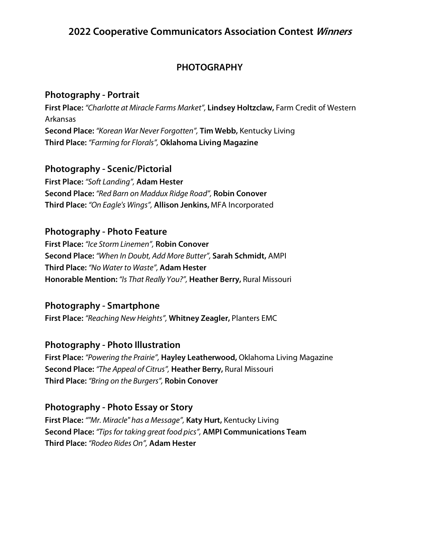# **PHOTOGRAPHY**

## **Photography - Portrait**

**First Place:** *"Charlotte at Miracle Farms Market",* **Lindsey Holtzclaw,** Farm Credit of Western Arkansas **Second Place:** *"Korean War Never Forgotten",* **Tim Webb,** Kentucky Living **Third Place:** *"Farming for Florals",* **Oklahoma Living Magazine**

#### **Photography - Scenic/Pictorial**

**First Place:** *"Soft Landing",* **Adam Hester Second Place:** *"Red Barn on Maddux Ridge Road",* **Robin Conover Third Place:** *"On Eagle's Wings",* **Allison Jenkins,** MFA Incorporated

# **Photography - Photo Feature**

**First Place:** *"Ice Storm Linemen",* **Robin Conover Second Place:** *"When In Doubt, Add More Butter",* **Sarah Schmidt,** AMPI **Third Place:** *"No Water to Waste",* **Adam Hester Honorable Mention:** *"Is That Really You?",* **Heather Berry,** Rural Missouri

# **Photography - Smartphone**

**First Place:** *"Reaching New Heights",* **Whitney Zeagler,** Planters EMC

## **Photography - Photo Illustration**

**First Place:** *"Powering the Prairie",* **Hayley Leatherwood,** Oklahoma Living Magazine **Second Place:** *"The Appeal of Citrus",* **Heather Berry,** Rural Missouri **Third Place:** *"Bring on the Burgers",* **Robin Conover**

# **Photography - Photo Essay or Story**

**First Place:** *""Mr. Miracle" has a Message",* **Katy Hurt,** Kentucky Living **Second Place:** *"Tips for taking great food pics",* **AMPI Communications Team Third Place:** *"Rodeo Rides On",* **Adam Hester**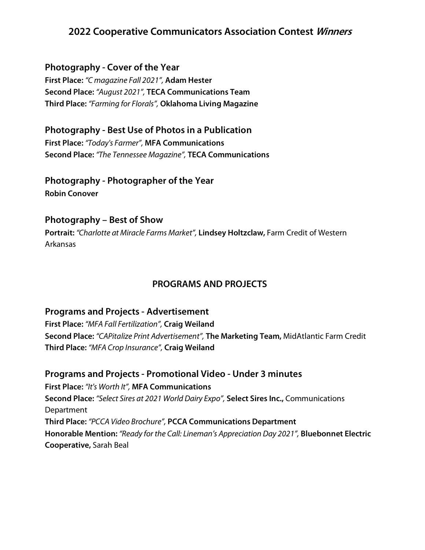#### **Photography - Cover of the Year**

**First Place:** *"C magazine Fall 2021",* **Adam Hester Second Place:** *"August 2021",* **TECA Communications Team Third Place:** *"Farming for Florals",* **Oklahoma Living Magazine**

## **Photography - Best Use of Photos in a Publication**

**First Place:** *"Today's Farmer",* **MFA Communications Second Place:** *"The Tennessee Magazine",* **TECA Communications**

# **Photography - Photographer of the Year**

**Robin Conover**

#### **Photography – Best of Show**

**Portrait:** *"Charlotte at Miracle Farms Market",* **Lindsey Holtzclaw,** Farm Credit of Western Arkansas

#### **PROGRAMS AND PROJECTS**

#### **Programs and Projects - Advertisement**

**First Place:** *"MFA Fall Fertilization",* **Craig Weiland Second Place:** *"CAPitalize Print Advertisement",* **The Marketing Team,** MidAtlantic Farm Credit **Third Place:** *"MFA Crop Insurance",* **Craig Weiland**

**Programs and Projects - Promotional Video - Under 3 minutes First Place:** *"It's Worth It",* **MFA Communications Second Place:** *"Select Sires at 2021 World Dairy Expo",* **Select Sires Inc.,** Communications Department **Third Place:** *"PCCA Video Brochure",* **PCCA Communications Department Honorable Mention:** *"Ready for the Call: Lineman's Appreciation Day 2021",* **Bluebonnet Electric Cooperative,** Sarah Beal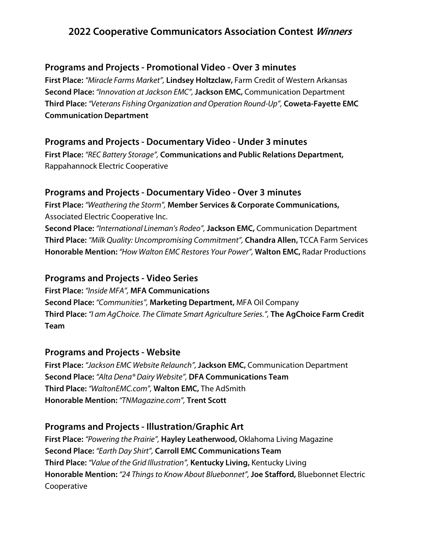#### **Programs and Projects - Promotional Video - Over 3 minutes**

**First Place:** *"Miracle Farms Market",* **Lindsey Holtzclaw,** Farm Credit of Western Arkansas **Second Place:** *"Innovation at Jackson EMC",***Jackson EMC,** Communication Department **Third Place:** *"Veterans Fishing Organization and Operation Round-Up",* **Coweta-Fayette EMC Communication Department**

## **Programs and Projects - Documentary Video - Under 3 minutes**

**First Place:** *"REC Battery Storage",* **Communications and Public Relations Department,** Rappahannock Electric Cooperative

## **Programs and Projects - Documentary Video - Over 3 minutes**

**First Place:** *"Weathering the Storm",* **Member Services & Corporate Communications,** Associated Electric Cooperative Inc.

**Second Place:** *"International Lineman's Rodeo",* **Jackson EMC,** Communication Department **Third Place:** *"Milk Quality: Uncompromising Commitment",* **Chandra Allen,** TCCA Farm Services **Honorable Mention:** *"How Walton EMC Restores Your Power",* **Walton EMC,** Radar Productions

## **Programs and Projects - Video Series**

**First Place:** *"Inside MFA",* **MFA Communications Second Place:** *"Communities",* **Marketing Department,** MFA Oil Company **Third Place:** *"I am AgChoice. The Climate Smart Agriculture Series.",* **The AgChoice Farm Credit Team**

#### **Programs and Projects - Website**

**First Place:** *"Jackson EMC Website Relaunch",***Jackson EMC,** Communication Department **Second Place:** *"Alta Dena® Dairy Website",* **DFA Communications Team Third Place:** *"WaltonEMC.com",* **Walton EMC,** The AdSmith **Honorable Mention:** *"TNMagazine.com",* **Trent Scott**

# **Programs and Projects - Illustration/Graphic Art**

**First Place:** *"Powering the Prairie",* **Hayley Leatherwood,** Oklahoma Living Magazine **Second Place:** *"Earth Day Shirt",* **Carroll EMC Communications Team Third Place:** *"Value of the Grid Illustration",* **Kentucky Living,** Kentucky Living **Honorable Mention:** *"24 Things to Know About Bluebonnet",***Joe Stafford,** Bluebonnet Electric Cooperative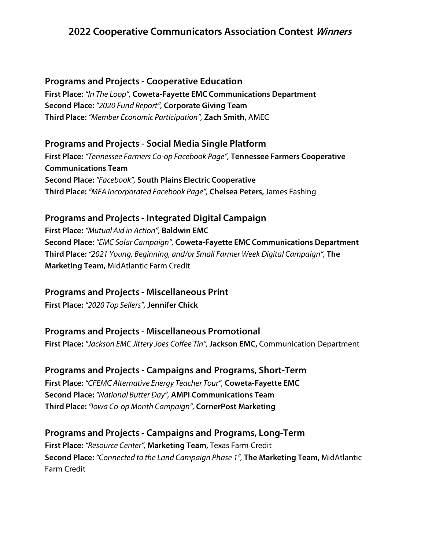#### **Programs and Projects - Cooperative Education**

**First Place:** *"In The Loop",* **Coweta-Fayette EMC Communications Department Second Place:** *"2020 Fund Report",* **Corporate Giving Team Third Place:** *"Member Economic Participation",* **Zach Smith,** AMEC

#### **Programs and Projects - Social Media Single Platform**

**First Place:** *"Tennessee Farmers Co-op Facebook Page",* **Tennessee Farmers Cooperative Communications Team Second Place:** *"Facebook",* **South Plains Electric Cooperative Third Place:** *"MFA Incorporated Facebook Page",* **Chelsea Peters,**James Fashing

#### **Programs and Projects - Integrated Digital Campaign**

**First Place:** *"Mutual Aid in Action",* **Baldwin EMC Second Place:** *"EMC Solar Campaign",* **Coweta-Fayette EMC Communications Department Third Place:** *"2021 Young, Beginning, and/or Small Farmer Week Digital Campaign",* **The Marketing Team,** MidAtlantic Farm Credit

#### **Programs and Projects - Miscellaneous Print**

**First Place:** *"2020 Top Sellers",* **Jennifer Chick**

#### **Programs and Projects - Miscellaneous Promotional**

**First Place:** *"Jackson EMC Jittery Joes Coffee Tin",* **Jackson EMC,** Communication Department

#### **Programs and Projects - Campaigns and Programs, Short-Term**

**First Place:** *"CFEMC Alternative Energy Teacher Tour",* **Coweta-Fayette EMC Second Place:** *"National Butter Day",* **AMPI Communications Team Third Place:** *"Iowa Co-op Month Campaign",* **CornerPost Marketing**

#### **Programs and Projects - Campaigns and Programs, Long-Term**

**First Place:** *"Resource Center",* **Marketing Team,** Texas Farm Credit **Second Place:** *"Connected to the Land Campaign Phase 1",* **The Marketing Team,** MidAtlantic Farm Credit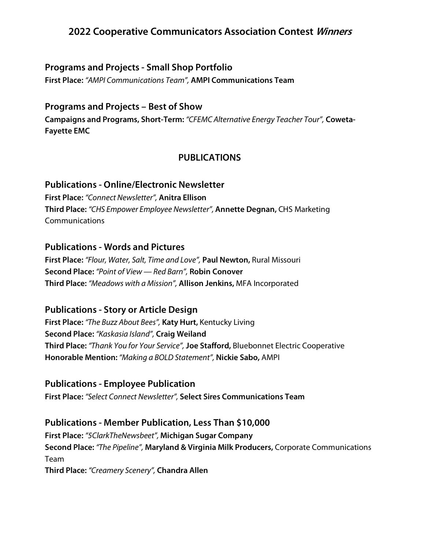## **Programs and Projects - Small Shop Portfolio**

**First Place:** *"AMPI Communications Team",* **AMPI Communications Team**

## **Programs and Projects – Best of Show**

**Campaigns and Programs, Short-Term:** *"CFEMC Alternative Energy Teacher Tour",* **Coweta-Fayette EMC**

# **PUBLICATIONS**

#### **Publications - Online/Electronic Newsletter**

**First Place:** *"Connect Newsletter",* **Anitra Ellison Third Place:** *"CHS Empower Employee Newsletter",* **Annette Degnan,** CHS Marketing Communications

## **Publications - Words and Pictures**

**First Place:** *"Flour, Water, Salt, Time and Love",* **Paul Newton,** Rural Missouri **Second Place:** *"Point of View — Red Barn",* **Robin Conover Third Place:** *"Meadows with a Mission",* **Allison Jenkins,** MFA Incorporated

#### **Publications - Story or Article Design**

**First Place:** *"The Buzz About Bees",* **Katy Hurt,** Kentucky Living **Second Place:** *"Kaskasia Island",* **Craig Weiland Third Place:** *"Thank You for Your Service",* **Joe Stafford,** Bluebonnet Electric Cooperative **Honorable Mention:** *"Making a BOLD Statement",* **Nickie Sabo,** AMPI

# **Publications - Employee Publication**

**First Place:** *"Select Connect Newsletter",* **Select Sires Communications Team**

# **Publications - Member Publication, Less Than \$10,000**

**First Place:** *"5ClarkTheNewsbeet",* **Michigan Sugar Company Second Place:** *"The Pipeline",* **Maryland & Virginia Milk Producers,** Corporate Communications Team **Third Place:** *"Creamery Scenery",* **Chandra Allen**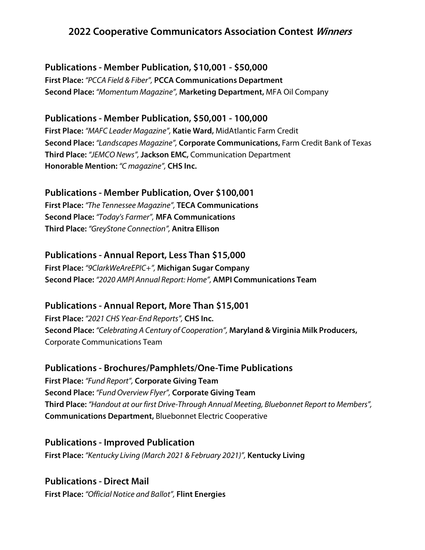## **Publications - Member Publication, \$10,001 - \$50,000**

**First Place:** *"PCCA Field & Fiber",* **PCCA Communications Department Second Place:** *"Momentum Magazine",* **Marketing Department,** MFA Oil Company

## **Publications - Member Publication, \$50,001 - 100,000**

**First Place:** *"MAFC Leader Magazine",* **Katie Ward,** MidAtlantic Farm Credit **Second Place:** *"Landscapes Magazine",* **Corporate Communications,** Farm Credit Bank of Texas **Third Place:** *"JEMCO News",***Jackson EMC,** Communication Department **Honorable Mention:** *"C magazine",* **CHS Inc.**

#### **Publications - Member Publication, Over \$100,001**

**First Place:** *"The Tennessee Magazine",* **TECA Communications Second Place:** *"Today's Farmer",* **MFA Communications Third Place:** *"GreyStone Connection",* **Anitra Ellison**

## **Publications - Annual Report, Less Than \$15,000**

**First Place:** *"9ClarkWeAreEPIC+",* **Michigan Sugar Company Second Place:** *"2020 AMPI Annual Report: Home",* **AMPI Communications Team**

#### **Publications - Annual Report, More Than \$15,001**

**First Place:** *"2021 CHS Year-End Reports",* **CHS Inc. Second Place:** *"Celebrating A Century of Cooperation",* **Maryland & Virginia Milk Producers,** Corporate Communications Team

#### **Publications - Brochures/Pamphlets/One-Time Publications**

**First Place:** *"Fund Report",* **Corporate Giving Team Second Place:** *"Fund Overview Flyer",* **Corporate Giving Team Third Place:** *"Handout at our first Drive-Through Annual Meeting, Bluebonnet Report to Members",* **Communications Department,** Bluebonnet Electric Cooperative

**Publications - Improved Publication First Place:** *"Kentucky Living (March 2021 & February 2021)",* **Kentucky Living**

**Publications - Direct Mail First Place:** *"Official Notice and Ballot",* **Flint Energies**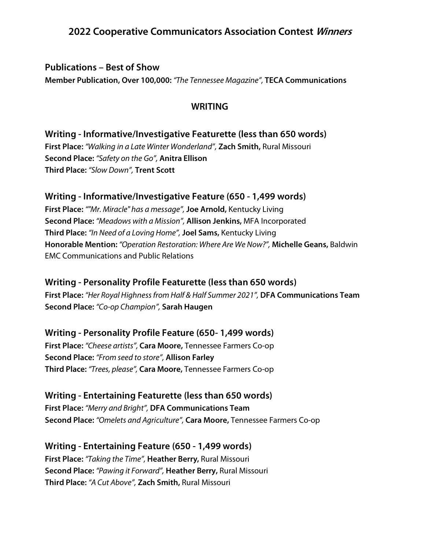#### **Publications – Best of Show**

**Member Publication, Over 100,000:** *"The Tennessee Magazine",* **TECA Communications**

#### **WRITING**

## **Writing - Informative/Investigative Featurette (less than 650 words)**

**First Place:** *"Walking in a Late Winter Wonderland",* **Zach Smith,** Rural Missouri **Second Place:** *"Safety on the Go",* **Anitra Ellison Third Place:** *"Slow Down",* **Trent Scott**

#### **Writing - Informative/Investigative Feature (650 - 1,499 words)**

**First Place:** *""Mr. Miracle" has a message",* **Joe Arnold,** Kentucky Living **Second Place:** *"Meadows with a Mission",* **Allison Jenkins,** MFA Incorporated **Third Place:** *"In Need of a Loving Home",* **Joel Sams,** Kentucky Living **Honorable Mention:** *"Operation Restoration: Where Are We Now?",* **Michelle Geans,** Baldwin EMC Communications and Public Relations

#### **Writing - Personality Profile Featurette (less than 650 words)**

**First Place:** *"Her Royal Highness from Half & Half Summer 2021",* **DFA Communications Team Second Place:** *"Co-op Champion",* **Sarah Haugen**

#### **Writing - Personality Profile Feature (650- 1,499 words)**

**First Place:** *"Cheese artists",* **Cara Moore,** Tennessee Farmers Co-op **Second Place:** *"From seed to store",* **Allison Farley Third Place:** *"Trees, please",* **Cara Moore,** Tennessee Farmers Co-op

# **Writing - Entertaining Featurette (less than 650 words)**

**First Place:** *"Merry and Bright",* **DFA Communications Team Second Place:** *"Omelets and Agriculture",* **Cara Moore,** Tennessee Farmers Co-op

#### **Writing - Entertaining Feature (650 - 1,499 words)**

**First Place:** *"Taking the Time",* **Heather Berry,** Rural Missouri **Second Place:** *"Pawing it Forward",* **Heather Berry,** Rural Missouri **Third Place:** *"A Cut Above",* **Zach Smith,** Rural Missouri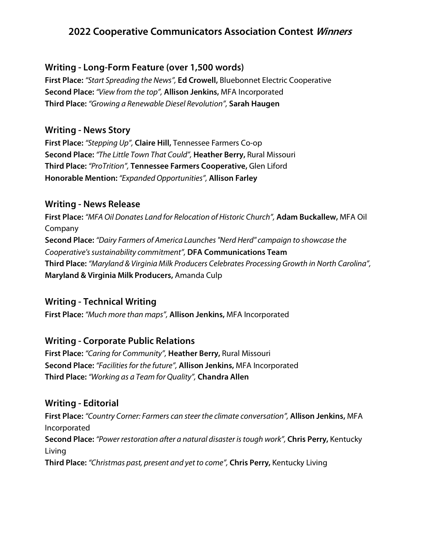## **Writing - Long-Form Feature (over 1,500 words)**

**First Place:** *"Start Spreading the News",* **Ed Crowell,** Bluebonnet Electric Cooperative **Second Place:** *"View from the top",* **Allison Jenkins,** MFA Incorporated **Third Place:** *"Growing a Renewable Diesel Revolution",* **Sarah Haugen**

## **Writing - News Story**

**First Place:** *"Stepping Up",* **Claire Hill,** Tennessee Farmers Co-op **Second Place:** *"The Little Town That Could",* **Heather Berry,** Rural Missouri **Third Place:** *"ProTrition",* **Tennessee Farmers Cooperative,** Glen Liford **Honorable Mention:** *"Expanded Opportunities",* **Allison Farley**

#### **Writing - News Release**

**First Place:** *"MFA Oil Donates Land for Relocation of Historic Church",* **Adam Buckallew,** MFA Oil Company **Second Place:** *"Dairy Farmers of America Launches "Nerd Herd" campaign to showcase the Cooperative's sustainability commitment",* **DFA Communications Team Third Place:** *"Maryland & Virginia Milk Producers Celebrates Processing Growth in North Carolina",* **Maryland & Virginia Milk Producers,** Amanda Culp

# **Writing - Technical Writing**

**First Place:** *"Much more than maps",* **Allison Jenkins,** MFA Incorporated

# **Writing - Corporate Public Relations**

**First Place:** *"Caring for Community",* **Heather Berry,** Rural Missouri **Second Place:** *"Facilities for the future",* **Allison Jenkins,** MFA Incorporated **Third Place:** *"Working as a Team for Quality",* **Chandra Allen**

#### **Writing - Editorial**

**First Place:** *"Country Corner: Farmers can steer the climate conversation",* **Allison Jenkins,** MFA Incorporated **Second Place:** *"Power restoration after a natural disaster is tough work",* **Chris Perry,** Kentucky Living **Third Place:** *"Christmas past, present and yet to come",* **Chris Perry,** Kentucky Living